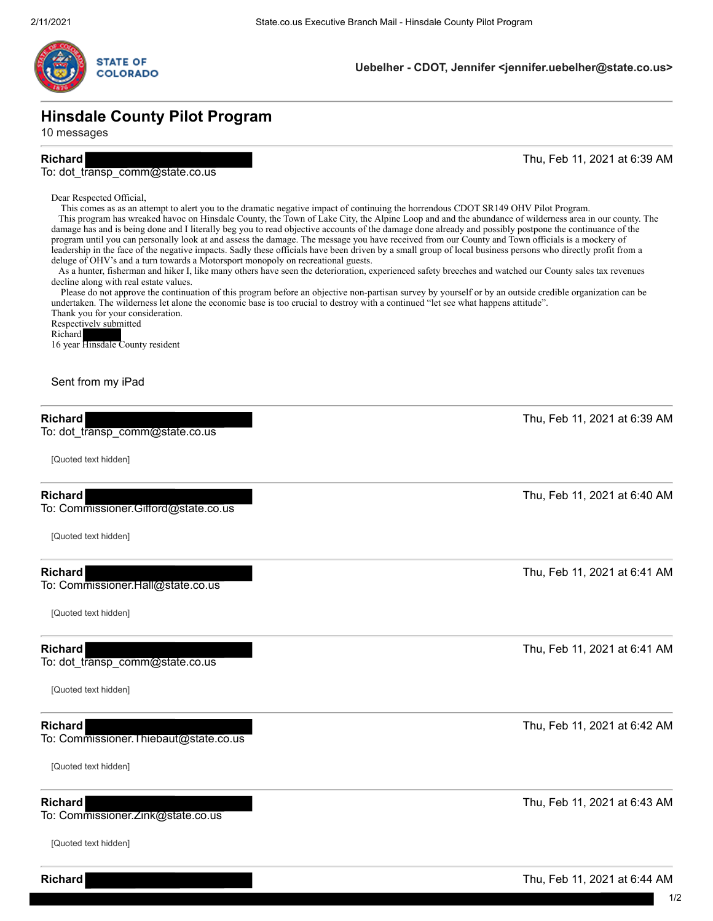

### **Uebelher - CDOT, Jennifer <jennifer.uebelher@state.co.us>**

# **Hinsdale County Pilot Program**

10 messages

**Richard** Thu, Feb 11, 2021 at 6:39 AM

### To: dot\_transp\_comm@state.co.us

Dear Respected Official,

 This comes as as an attempt to alert you to the dramatic negative impact of continuing the horrendous CDOT SR149 OHV Pilot Program. This program has wreaked havoc on Hinsdale County, the Town of Lake City, the Alpine Loop and and the abundance of wilderness area in our county. The damage has and is being done and I literally beg you to read objective accounts of the damage done already and possibly postpone the continuance of the program until you can personally look at and assess the damage. The message you have received from our County and Town officials is a mockery of leadership in the face of the negative impacts. Sadly these officials have been driven by a small group of local business persons who directly profit from a deluge of OHV's and a turn towards a Motorsport monopoly on recreational guests.

 As a hunter, fisherman and hiker I, like many others have seen the deterioration, experienced safety breeches and watched our County sales tax revenues decline along with real estate values.

 Please do not approve the continuation of this program before an objective non-partisan survey by yourself or by an outside credible organization can be undertaken. The wilderness let alone the economic base is too crucial to destroy with a continued "let see what happens attitude". Thank you for your consideration.

Respectively submitted Richard 16 year Hinsdale County resident

### Sent from my iPad

### **Richard** Thu, Feb 11, 2021 at 6:39 AM

To: dot transp\_comm@state.co.us

[Quoted text hidden]

To: Commissioner.Gifford@state.co.us

[Quoted text hidden]

To: Commissioner.Hall@state.co.us

[Quoted text hidden]

To: dot\_transp\_comm@state.co.us

[Quoted text hidden]

To: Commissioner.Thiebaut@state.co.us

[Quoted text hidden]

To: Commissioner.Zink@state.co.us

[Quoted text hidden]

**Richard** Thu, Feb 11, 2021 at 6:44 AM

**Richard** Thu, Feb 11, 2021 at 6:40 AM

**Richard** Thu, Feb 11, 2021 at 6:41 AM

**Richard** Thu, Feb 11, 2021 at 6:41 AM

**Richard** Thu, Feb 11, 2021 at 6:42 AM

**Richard** Thu, Feb 11, 2021 at 6:43 AM